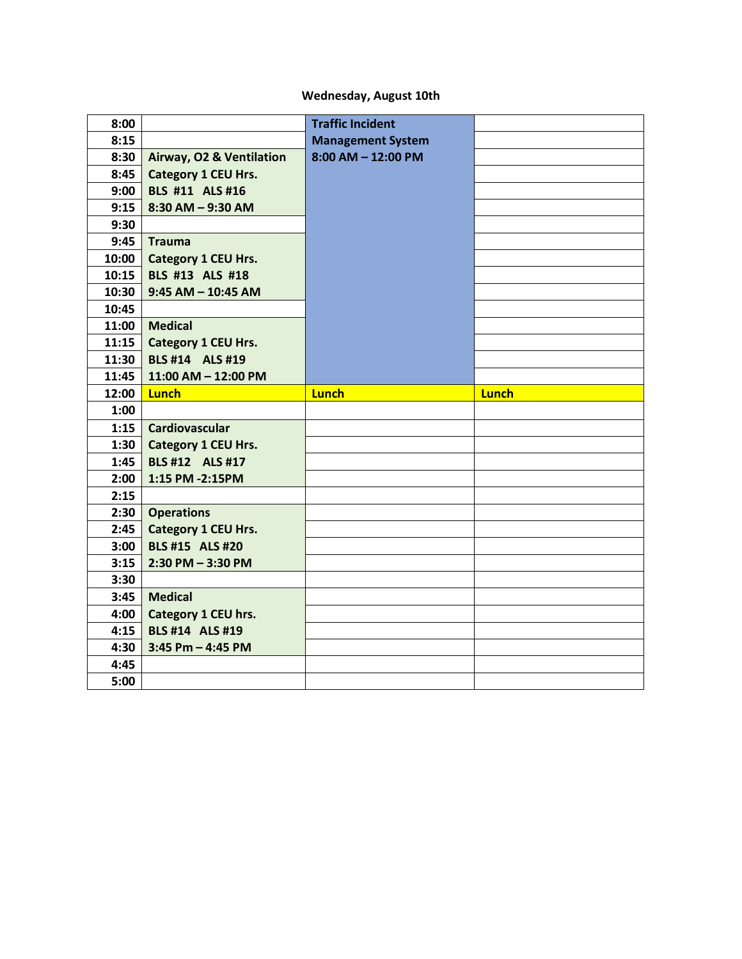## **Wednesday, August 10th**

| 8:00  |                            | <b>Traffic Incident</b>  |              |
|-------|----------------------------|--------------------------|--------------|
| 8:15  |                            | <b>Management System</b> |              |
| 8:30  | Airway, O2 & Ventilation   | $8:00$ AM $-$ 12:00 PM   |              |
| 8:45  | <b>Category 1 CEU Hrs.</b> |                          |              |
| 9:00  | <b>BLS #11 ALS #16</b>     |                          |              |
| 9:15  | $8:30$ AM $-$ 9:30 AM      |                          |              |
| 9:30  |                            |                          |              |
| 9:45  | Trauma                     |                          |              |
| 10:00 | <b>Category 1 CEU Hrs.</b> |                          |              |
| 10:15 | <b>BLS #13 ALS #18</b>     |                          |              |
| 10:30 | $9:45$ AM $-$ 10:45 AM     |                          |              |
| 10:45 |                            |                          |              |
| 11:00 | Medical                    |                          |              |
| 11:15 | <b>Category 1 CEU Hrs.</b> |                          |              |
| 11:30 | <b>BLS #14 ALS #19</b>     |                          |              |
| 11:45 | 11:00 AM - 12:00 PM        |                          |              |
| 12:00 | <b>Lunch</b>               | <b>Lunch</b>             | <b>Lunch</b> |
|       |                            |                          |              |
| 1:00  |                            |                          |              |
| 1:15  | Cardiovascular             |                          |              |
| 1:30  | <b>Category 1 CEU Hrs.</b> |                          |              |
| 1:45  | BLS #12 ALS #17            |                          |              |
| 2:00  | 1:15 PM -2:15PM            |                          |              |
| 2:15  |                            |                          |              |
| 2:30  | <b>Operations</b>          |                          |              |
| 2:45  | <b>Category 1 CEU Hrs.</b> |                          |              |
| 3:00  | <b>BLS #15 ALS #20</b>     |                          |              |
| 3:15  | $2:30$ PM $-3:30$ PM       |                          |              |
| 3:30  |                            |                          |              |
| 3:45  | <b>Medical</b>             |                          |              |
| 4:00  | Category 1 CEU hrs.        |                          |              |
| 4:15  | <b>BLS #14 ALS #19</b>     |                          |              |
| 4:30  | $3:45$ Pm $-$ 4:45 PM      |                          |              |
| 4:45  |                            |                          |              |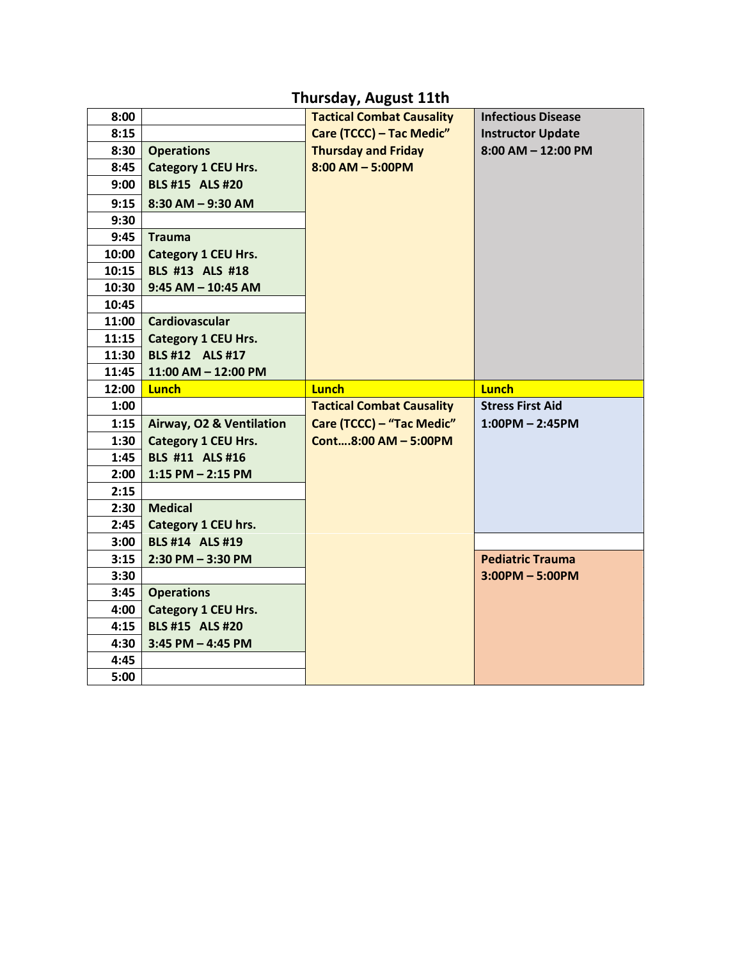## **Thursday, August 11th**

| 8:00  |                            | <b>Tactical Combat Causality</b> | <b>Infectious Disease</b> |
|-------|----------------------------|----------------------------------|---------------------------|
| 8:15  |                            | Care (TCCC) - Tac Medic"         | <b>Instructor Update</b>  |
| 8:30  | <b>Operations</b>          | <b>Thursday and Friday</b>       | $8:00$ AM $-$ 12:00 PM    |
| 8:45  | <b>Category 1 CEU Hrs.</b> | $8:00$ AM - 5:00PM               |                           |
| 9:00  | <b>BLS #15 ALS #20</b>     |                                  |                           |
| 9:15  | $8:30$ AM $-9:30$ AM       |                                  |                           |
| 9:30  |                            |                                  |                           |
| 9:45  | <b>Trauma</b>              |                                  |                           |
| 10:00 | <b>Category 1 CEU Hrs.</b> |                                  |                           |
| 10:15 | BLS #13 ALS #18            |                                  |                           |
| 10:30 | $9:45$ AM $-$ 10:45 AM     |                                  |                           |
| 10:45 |                            |                                  |                           |
| 11:00 | <b>Cardiovascular</b>      |                                  |                           |
| 11:15 | Category 1 CEU Hrs.        |                                  |                           |
| 11:30 | BLS #12 ALS #17            |                                  |                           |
| 11:45 | 11:00 AM - 12:00 PM        |                                  |                           |
| 12:00 | <b>Lunch</b>               | <b>Lunch</b>                     | <b>Lunch</b>              |
|       |                            |                                  |                           |
| 1:00  |                            | <b>Tactical Combat Causality</b> | <b>Stress First Aid</b>   |
| 1:15  | Airway, O2 & Ventilation   | Care (TCCC) - "Tac Medic"        | $1:00PM - 2:45PM$         |
| 1:30  | <b>Category 1 CEU Hrs.</b> | Cont8:00 AM - 5:00PM             |                           |
| 1:45  | BLS #11 ALS #16            |                                  |                           |
| 2:00  | $1:15$ PM $- 2:15$ PM      |                                  |                           |
| 2:15  |                            |                                  |                           |
| 2:30  | <b>Medical</b>             |                                  |                           |
| 2:45  | Category 1 CEU hrs.        |                                  |                           |
| 3:00  | <b>BLS #14 ALS #19</b>     |                                  |                           |
| 3:15  | $2:30$ PM $-3:30$ PM       |                                  | <b>Pediatric Trauma</b>   |
| 3:30  |                            |                                  | $3:00PM - 5:00PM$         |
| 3:45  | <b>Operations</b>          |                                  |                           |
| 4:00  | <b>Category 1 CEU Hrs.</b> |                                  |                           |
| 4:15  | <b>BLS #15 ALS #20</b>     |                                  |                           |
| 4:30  | $3:45$ PM $-$ 4:45 PM      |                                  |                           |
| 4:45  |                            |                                  |                           |